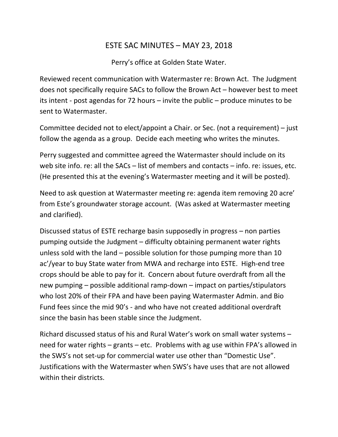## ESTE SAC MINUTES – MAY 23, 2018

Perry's office at Golden State Water.

Reviewed recent communication with Watermaster re: Brown Act. The Judgment does not specifically require SACs to follow the Brown Act – however best to meet its intent ‐ post agendas for 72 hours – invite the public – produce minutes to be sent to Watermaster.

Committee decided not to elect/appoint a Chair. or Sec. (not a requirement) – just follow the agenda as a group. Decide each meeting who writes the minutes.

Perry suggested and committee agreed the Watermaster should include on its web site info. re: all the SACs – list of members and contacts – info. re: issues, etc. (He presented this at the evening's Watermaster meeting and it will be posted).

Need to ask question at Watermaster meeting re: agenda item removing 20 acre' from Este's groundwater storage account. (Was asked at Watermaster meeting and clarified).

Discussed status of ESTE recharge basin supposedly in progress – non parties pumping outside the Judgment – difficulty obtaining permanent water rights unless sold with the land – possible solution for those pumping more than 10 ac'/year to buy State water from MWA and recharge into ESTE. High‐end tree crops should be able to pay for it. Concern about future overdraft from all the new pumping – possible additional ramp‐down – impact on parties/stipulators who lost 20% of their FPA and have been paying Watermaster Admin. and Bio Fund fees since the mid 90's ‐ and who have not created additional overdraft since the basin has been stable since the Judgment.

Richard discussed status of his and Rural Water's work on small water systems – need for water rights – grants – etc. Problems with ag use within FPA's allowed in the SWS's not set‐up for commercial water use other than "Domestic Use". Justifications with the Watermaster when SWS's have uses that are not allowed within their districts.